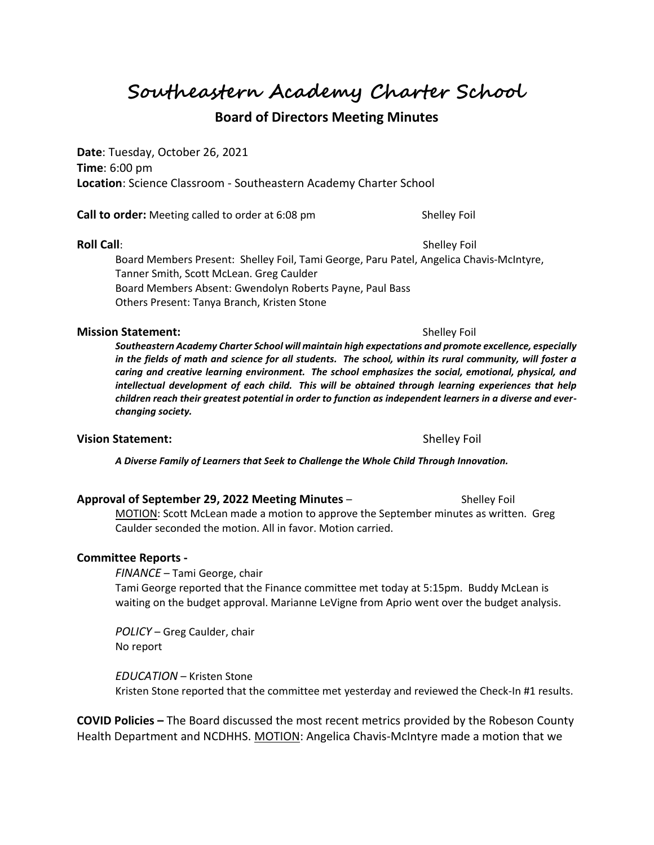**Southeastern Academy Charter School**

# **Board of Directors Meeting Minutes**

**Date**: Tuesday, October 26, 2021 **Time**: 6:00 pm **Location**: Science Classroom - Southeastern Academy Charter School

**Call to order:** Meeting called to order at 6:08 pm Shelley Foil

**Roll Call**: Shelley Foil

Board Members Present: Shelley Foil, Tami George, Paru Patel, Angelica Chavis-McIntyre, Tanner Smith, Scott McLean. Greg Caulder Board Members Absent: Gwendolyn Roberts Payne, Paul Bass Others Present: Tanya Branch, Kristen Stone

#### **Mission Statement:**  $\qquad \qquad$  Shelley Foil

*Southeastern Academy Charter School will maintain high expectations and promote excellence, especially in the fields of math and science for all students. The school, within its rural community, will foster a caring and creative learning environment. The school emphasizes the social, emotional, physical, and intellectual development of each child. This will be obtained through learning experiences that help children reach their greatest potential in order to function as independent learners in a diverse and everchanging society.*

## **Vision Statement:**  $\qquad \qquad$  Shelley Foil

*A Diverse Family of Learners that Seek to Challenge the Whole Child Through Innovation.*

| Approval of September 29, 2022 Meeting Minutes –                                     | Shelley Foil |  |
|--------------------------------------------------------------------------------------|--------------|--|
| MOTION: Scott McLean made a motion to approve the September minutes as written. Greg |              |  |
| Caulder seconded the motion. All in favor. Motion carried.                           |              |  |

### **Committee Reports -**

*FINANCE* – Tami George, chair Tami George reported that the Finance committee met today at 5:15pm. Buddy McLean is waiting on the budget approval. Marianne LeVigne from Aprio went over the budget analysis.

*POLICY* – Greg Caulder, chair No report

*EDUCATION* – Kristen Stone Kristen Stone reported that the committee met yesterday and reviewed the Check-In #1 results.

**COVID Policies –** The Board discussed the most recent metrics provided by the Robeson County Health Department and NCDHHS. MOTION: Angelica Chavis-McIntyre made a motion that we